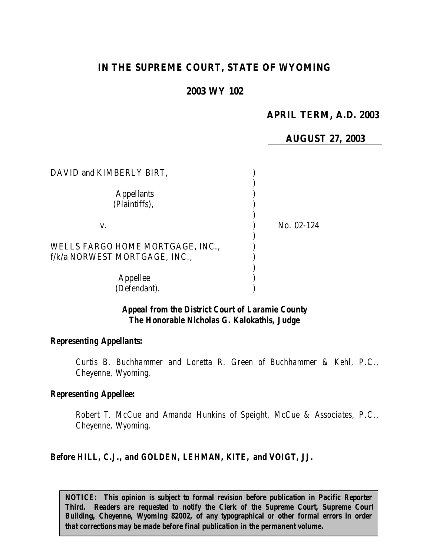# **IN THE SUPREME COURT, STATE OF WYOMING**

### **2003 WY 102**

### **APRIL TERM, A.D. 2003**

### **AUGUST 27, 2003**

DAVID and KIMBERLY BIRT,

Appellants (a) (Plaintiffs), )

v. No. 02-124

)

)

)

)

WELLS FARGO HOME MORTGAGE, INC., f/k/a NORWEST MORTGAGE, INC., )

> Appellee (b) (Defendant). )

### *Appeal from the District Court of Laramie County The Honorable Nicholas G. Kalokathis, Judge*

#### *Representing Appellants:*

*Curtis B. Buchhammer and Loretta R. Green of Buchhammer & Kehl, P.C., Cheyenne, Wyoming.*

#### *Representing Appellee:*

*Robert T. McCue and Amanda Hunkins of Speight, McCue & Associates, P.C., Cheyenne, Wyoming.*

#### *Before HILL, C.J., and GOLDEN, LEHMAN, KITE, and VOIGT, JJ.*

*NOTICE: This opinion is subject to formal revision before publication in Pacific Reporter Third. Readers are requested to notify the Clerk of the Supreme Court, Supreme Court Building, Cheyenne, Wyoming 82002, of any typographical or other formal errors in order that corrections may be made before final publication in the permanent volume.*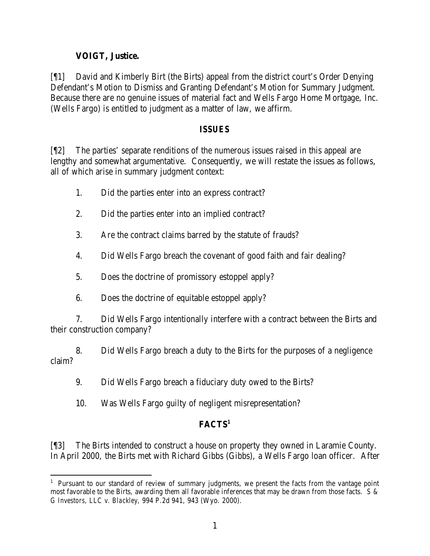# **VOIGT, Justice.**

[¶1] David and Kimberly Birt (the Birts) appeal from the district court's Order Denying Defendant's Motion to Dismiss and Granting Defendant's Motion for Summary Judgment. Because there are no genuine issues of material fact and Wells Fargo Home Mortgage, Inc. (Wells Fargo) is entitled to judgment as a matter of law, we affirm.

### *ISSUES*

[¶2] The parties' separate renditions of the numerous issues raised in this appeal are lengthy and somewhat argumentative. Consequently, we will restate the issues as follows, all of which arise in summary judgment context:

- 1. Did the parties enter into an express contract?
- 2. Did the parties enter into an implied contract?
- 3. Are the contract claims barred by the statute of frauds?
- 4. Did Wells Fargo breach the covenant of good faith and fair dealing?
- 5. Does the doctrine of promissory estoppel apply?
- 6. Does the doctrine of equitable estoppel apply?

7. Did Wells Fargo intentionally interfere with a contract between the Birts and their construction company?

- 8. Did Wells Fargo breach a duty to the Birts for the purposes of a negligence claim?
	- 9. Did Wells Fargo breach a fiduciary duty owed to the Birts?
	- 10. Was Wells Fargo guilty of negligent misrepresentation?

# **FACTS<sup>1</sup>**

[¶3] The Birts intended to construct a house on property they owned in Laramie County. In April 2000, the Birts met with Richard Gibbs (Gibbs), a Wells Fargo loan officer. After

<sup>&</sup>lt;sup>1</sup> Pursuant to our standard of review of summary judgments, we present the facts from the vantage point most favorable to the Birts, awarding them all favorable inferences that may be drawn from those facts. *S & G Investors, LLC v. Blackley,* 994 P.2d 941, 943 (Wyo. 2000).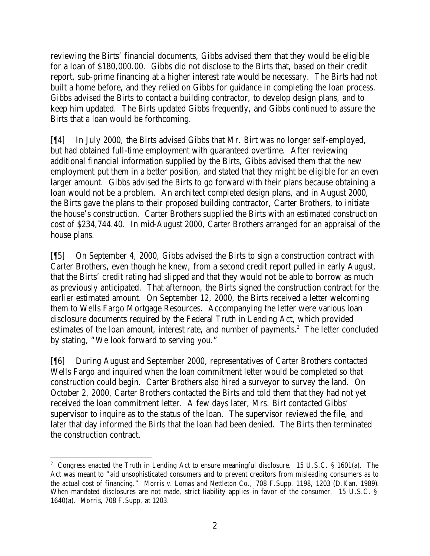reviewing the Birts' financial documents, Gibbs advised them that they would be eligible for a loan of \$180,000.00. Gibbs did not disclose to the Birts that, based on their credit report, sub-prime financing at a higher interest rate would be necessary. The Birts had not built a home before, and they relied on Gibbs for guidance in completing the loan process. Gibbs advised the Birts to contact a building contractor, to develop design plans, and to keep him updated. The Birts updated Gibbs frequently, and Gibbs continued to assure the Birts that a loan would be forthcoming.

[¶4] In July 2000, the Birts advised Gibbs that Mr. Birt was no longer self-employed, but had obtained full-time employment with guaranteed overtime. After reviewing additional financial information supplied by the Birts, Gibbs advised them that the new employment put them in a better position, and stated that they might be eligible for an even larger amount. Gibbs advised the Birts to go forward with their plans because obtaining a loan would not be a problem. An architect completed design plans, and in August 2000, the Birts gave the plans to their proposed building contractor, Carter Brothers, to initiate the house's construction. Carter Brothers supplied the Birts with an estimated construction cost of \$234,744.40. In mid-August 2000, Carter Brothers arranged for an appraisal of the house plans.

[¶5] On September 4, 2000, Gibbs advised the Birts to sign a construction contract with Carter Brothers, even though he knew, from a second credit report pulled in early August, that the Birts' credit rating had slipped and that they would not be able to borrow as much as previously anticipated. That afternoon, the Birts signed the construction contract for the earlier estimated amount. On September 12, 2000, the Birts received a letter welcoming them to Wells Fargo Mortgage Resources. Accompanying the letter were various loan disclosure documents required by the Federal Truth in Lending Act, which provided estimates of the loan amount, interest rate, and number of payments.<sup>2</sup> The letter concluded by stating, "We look forward to serving you."

[¶6] During August and September 2000, representatives of Carter Brothers contacted Wells Fargo and inquired when the loan commitment letter would be completed so that construction could begin. Carter Brothers also hired a surveyor to survey the land. On October 2, 2000, Carter Brothers contacted the Birts and told them that they had not yet received the loan commitment letter. A few days later, Mrs. Birt contacted Gibbs' supervisor to inquire as to the status of the loan. The supervisor reviewed the file, and later that day informed the Birts that the loan had been denied. The Birts then terminated the construction contract.

<sup>&</sup>lt;sup>2</sup> Congress enacted the Truth in Lending Act to ensure meaningful disclosure. 15 U.S.C. § 1601(a). The Act was meant to "aid unsophisticated consumers and to prevent creditors from misleading consumers as to the actual cost of financing." *Morris v. Lomas and Nettleton Co.,* 708 F.Supp. 1198, 1203 (D.Kan. 1989). When mandated disclosures are not made, strict liability applies in favor of the consumer. 15 U.S.C. § 1640(a). *Morris*, 708 F.Supp. at 1203.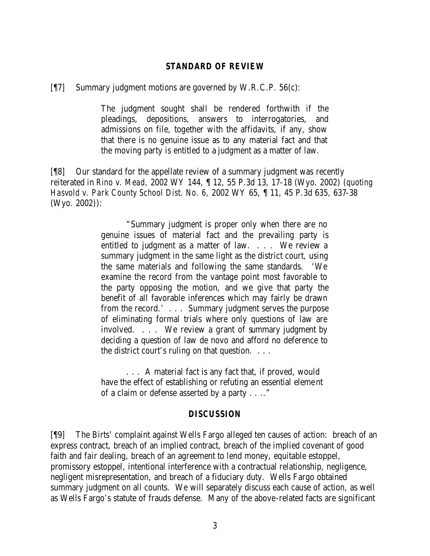#### *STANDARD OF REVIEW*

 $[\,\]7]$  Summary judgment motions are governed by W.R.C.P. 56(c):

The judgment sought shall be rendered forthwith if the pleadings, depositions, answers to interrogatories, and admissions on file, together with the affidavits, if any, show that there is no genuine issue as to any material fact and that the moving party is entitled to a judgment as a matter of law.

[¶8] Our standard for the appellate review of a summary judgment was recently reiterated in *Rino v. Mead,* 2002 WY 144, ¶ 12, 55 P.3d 13, 17-18 (Wyo. 2002) (*quoting Hasvold v. Park County School Dist. No. 6,* 2002 WY 65, ¶ 11, 45 P.3d 635, 637-38 (Wyo. 2002)):

> "Summary judgment is proper only when there are no genuine issues of material fact and the prevailing party is entitled to judgment as a matter of law. . . . We review a summary judgment in the same light as the district court, using the same materials and following the same standards. 'We examine the record from the vantage point most favorable to the party opposing the motion, and we give that party the benefit of all favorable inferences which may fairly be drawn from the record.' . . . Summary judgment serves the purpose of eliminating formal trials where only questions of law are involved. . . . We review a grant of summary judgment by deciding a question of law de novo and afford no deference to the district court's ruling on that question. . . .

. . . A material fact is any fact that, if proved, would have the effect of establishing or refuting an essential element of a claim or defense asserted by a party . . .."

#### *DISCUSSION*

[¶9] The Birts' complaint against Wells Fargo alleged ten causes of action: breach of an express contract, breach of an implied contract, breach of the implied covenant of good faith and fair dealing, breach of an agreement to lend money, equitable estoppel, promissory estoppel, intentional interference with a contractual relationship, negligence, negligent misrepresentation, and breach of a fiduciary duty. Wells Fargo obtained summary judgment on all counts. We will separately discuss each cause of action, as well as Wells Fargo's statute of frauds defense. Many of the above-related facts are significant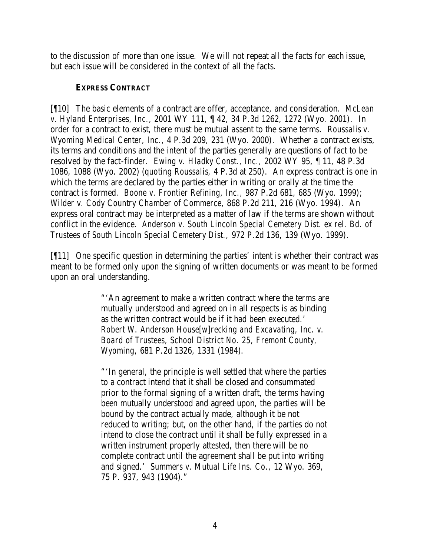to the discussion of more than one issue. We will not repeat all the facts for each issue, but each issue will be considered in the context of all the facts.

# **EXPRESS CONTRACT**

[¶10] The basic elements of a contract are offer, acceptance, and consideration. *McLean v. Hyland Enterprises, Inc.,* 2001 WY 111, ¶ 42, 34 P.3d 1262, 1272 (Wyo. 2001). In order for a contract to exist, there must be mutual assent to the same terms. *Roussalis v. Wyoming Medical Center, Inc.,* 4 P.3d 209, 231 (Wyo. 2000). Whether a contract exists, its terms and conditions and the intent of the parties generally are questions of fact to be resolved by the fact-finder. *Ewing v. Hladky Const., Inc.,* 2002 WY 95, ¶ 11, 48 P.3d 1086, 1088 (Wyo. 2002) (*quoting Roussalis*, 4 P.3d at 250). An express contract is one in which the terms are declared by the parties either in writing or orally at the time the contract is formed. *Boone v. Frontier Refining, Inc.,* 987 P.2d 681, 685 (Wyo. 1999); *Wilder v. Cody Country Chamber of Commerce,* 868 P.2d 211, 216 (Wyo. 1994). An express oral contract may be interpreted as a matter of law if the terms are shown without conflict in the evidence. *Anderson v. South Lincoln Special Cemetery Dist. ex rel. Bd. of Trustees of South Lincoln Special Cemetery Dist.,* 972 P.2d 136, 139 (Wyo. 1999).

[¶11] One specific question in determining the parties' intent is whether their contract was meant to be formed only upon the signing of written documents or was meant to be formed upon an oral understanding.

> "'An agreement to make a written contract where the terms are mutually understood and agreed on in all respects is as binding as the written contract would be if it had been executed.' *Robert W. Anderson House[w]recking and Excavating, Inc. v. Board of Trustees, School District No. 25, Fremont County, Wyoming,* 681 P.2d 1326, 1331 (1984).

> "'In general, the principle is well settled that where the parties to a contract intend that it shall be closed and consummated prior to the formal signing of a written draft, the terms having been mutually understood and agreed upon, the parties will be bound by the contract actually made, although it be not reduced to writing; but, on the other hand, if the parties do not intend to close the contract until it shall be fully expressed in a written instrument properly attested, then there will be no complete contract until the agreement shall be put into writing and signed.' *Summers v. Mutual Life Ins. Co.,* 12 Wyo. 369, 75 P. 937, 943 (1904)."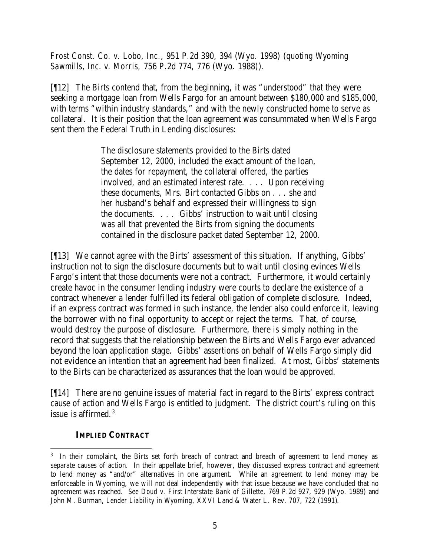*Frost Const. Co. v. Lobo, Inc.,* 951 P.2d 390, 394 (Wyo. 1998) (*quoting Wyoming Sawmills, Inc. v. Morris,* 756 P.2d 774, 776 (Wyo. 1988)).

[¶12] The Birts contend that, from the beginning, it was "understood" that they were seeking a mortgage loan from Wells Fargo for an amount between \$180,000 and \$185,000, with terms "within industry standards," and with the newly constructed home to serve as collateral. It is their position that the loan agreement was consummated when Wells Fargo sent them the Federal Truth in Lending disclosures:

> The disclosure statements provided to the Birts dated September 12, 2000, included the exact amount of the loan, the dates for repayment, the collateral offered, the parties involved, and an estimated interest rate. . . . Upon receiving these documents, Mrs. Birt contacted Gibbs on . . . she and her husband's behalf and expressed their willingness to sign the documents. . . . Gibbs' instruction to wait until closing was all that prevented the Birts from signing the documents contained in the disclosure packet dated September 12, 2000.

[¶13] We cannot agree with the Birts' assessment of this situation. If anything, Gibbs' instruction not to sign the disclosure documents but to wait until closing evinces Wells Fargo's intent that those documents were not a contract. Furthermore, it would certainly create havoc in the consumer lending industry were courts to declare the existence of a contract whenever a lender fulfilled its federal obligation of complete disclosure. Indeed, if an express contract was formed in such instance, the lender also could enforce it, leaving the borrower with no final opportunity to accept or reject the terms. That, of course, would destroy the purpose of disclosure. Furthermore, there is simply nothing in the record that suggests that the relationship between the Birts and Wells Fargo ever advanced beyond the loan application stage. Gibbs' assertions on behalf of Wells Fargo simply did not evidence an intention that an agreement had been finalized. At most, Gibbs' statements to the Birts can be characterized as assurances that the loan would be approved.

[¶14] There are no genuine issues of material fact in regard to the Birts' express contract cause of action and Wells Fargo is entitled to judgment. The district court's ruling on this issue is affirmed. $3$ 

# **IMPLIED CONTRACT**

 3 In their complaint, the Birts set forth breach of contract and breach of agreement to lend money as separate causes of action. In their appellate brief, however, they discussed express contract and agreement to lend money as "and/or" alternatives in one argument. While an agreement to lend money may be enforceable in Wyoming, we will not deal independently with that issue because we have concluded that no agreement was reached. *See Doud v. First Interstate Bank of Gillette,* 769 P.2d 927, 929 (Wyo. 1989) and John M. Burman, *Lender Liability in Wyoming,* XXVI Land & Water L. Rev. 707, 722 (1991).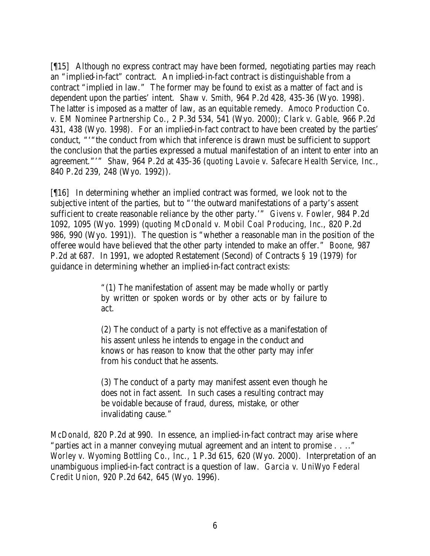[¶15] Although no express contract may have been formed, negotiating parties may reach an "implied-in-fact" contract. An implied-in-fact contract is distinguishable from a contract "implied in law." The former may be found to exist as a matter of fact and is dependent upon the parties' intent. *Shaw v. Smith,* 964 P.2d 428, 435-36 (Wyo. 1998). The latter is imposed as a matter of law, as an equitable remedy. *Amoco Production Co. v. EM Nominee Partnership Co.,* 2 P.3d 534, 541 (Wyo. 2000); *Clark v. Gable,* 966 P.2d 431, 438 (Wyo. 1998). For an implied-in-fact contract to have been created by the parties' conduct, "'"the conduct from which that inference is drawn must be sufficient to support the conclusion that the parties expressed a mutual manifestation of an intent to enter into an agreement."'" *Shaw,* 964 P.2d at 435-36 (*quoting Lavoie v. Safecare Health Service, Inc.,*  840 P.2d 239, 248 (Wyo. 1992)).

[¶16] In determining whether an implied contract was formed, we look not to the subjective intent of the parties, but to "'the outward manifestations of a party's assent sufficient to create reasonable reliance by the other party.'" *Givens v. Fowler,* 984 P.2d 1092, 1095 (Wyo. 1999) (*quoting McDonald v. Mobil Coal Producing, Inc.*, 820 P.2d 986, 990 (Wyo. 1991)). The question is "whether a reasonable man in the position of the offeree would have believed that the other party intended to make an offer." *Boone,* 987 P.2d at 687. In 1991, we adopted Restatement (Second) of Contracts § 19 (1979) for guidance in determining whether an implied-in-fact contract exists:

> "(1) The manifestation of assent may be made wholly or partly by written or spoken words or by other acts or by failure to act.

> (2) The conduct of a party is not effective as a manifestation of his assent unless he intends to engage in the conduct and knows or has reason to know that the other party may infer from his conduct that he assents.

> (3) The conduct of a party may manifest assent even though he does not in fact assent. In such cases a resulting contract may be voidable because of fraud, duress, mistake, or other invalidating cause."

*McDonald,* 820 P.2d at 990. In essence, an implied-in-fact contract may arise where "parties act in a manner conveying mutual agreement and an intent to promise . . .." *Worley v. Wyoming Bottling Co., Inc.,* 1 P.3d 615, 620 (Wyo. 2000). Interpretation of an unambiguous implied-in-fact contract is a question of law. *Garcia v. UniWyo Federal Credit Union,* 920 P.2d 642, 645 (Wyo. 1996).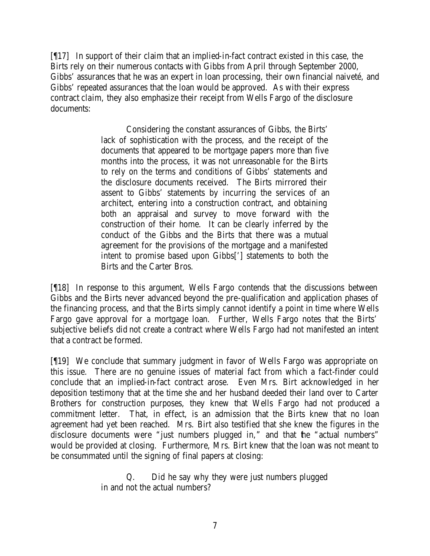[¶17] In support of their claim that an implied-in-fact contract existed in this case, the Birts rely on their numerous contacts with Gibbs from April through September 2000, Gibbs' assurances that he was an expert in loan processing, their own financial naiveté, and Gibbs' repeated assurances that the loan would be approved. As with their express contract claim, they also emphasize their receipt from Wells Fargo of the disclosure documents:

> Considering the constant assurances of Gibbs, the Birts' lack of sophistication with the process, and the receipt of the documents that appeared to be mortgage papers more than five months into the process, it was not unreasonable for the Birts to rely on the terms and conditions of Gibbs' statements and the disclosure documents received. The Birts mirrored their assent to Gibbs' statements by incurring the services of an architect, entering into a construction contract, and obtaining both an appraisal and survey to move forward with the construction of their home. It can be clearly inferred by the conduct of the Gibbs and the Birts that there was a mutual agreement for the provisions of the mortgage and a manifested intent to promise based upon Gibbs['] statements to both the Birts and the Carter Bros.

[¶18] In response to this argument, Wells Fargo contends that the discussions between Gibbs and the Birts never advanced beyond the pre-qualification and application phases of the financing process, and that the Birts simply cannot identify a point in time where Wells Fargo gave approval for a mortgage loan. Further, Wells Fargo notes that the Birts' subjective beliefs did not create a contract where Wells Fargo had not manifested an intent that a contract be formed.

[¶19] We conclude that summary judgment in favor of Wells Fargo was appropriate on this issue. There are no genuine issues of material fact from which a fact-finder could conclude that an implied-in-fact contract arose. Even Mrs. Birt acknowledged in her deposition testimony that at the time she and her husband deeded their land over to Carter Brothers for construction purposes, they knew that Wells Fargo had not produced a commitment letter. That, in effect, is an admission that the Birts knew that no loan agreement had yet been reached. Mrs. Birt also testified that she knew the figures in the disclosure documents were "just numbers plugged in," and that the "actual numbers" would be provided at closing. Furthermore, Mrs. Birt knew that the loan was not meant to be consummated until the signing of final papers at closing:

> Q. Did he say why they were just numbers plugged in and not the actual numbers?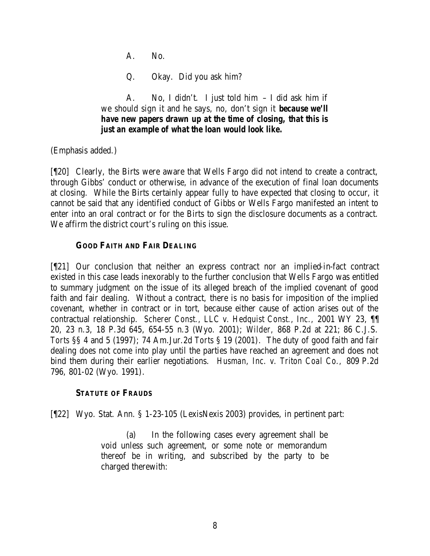A. No.

Q. Okay. Did you ask him?

A. No, I didn't. I just told him – I did ask him if we should sign it and he says, no, don't sign it *because we'll have new papers drawn up at the time of closing, that this is just an example of what the loan would look like.*

(Emphasis added.)

[¶20] Clearly, the Birts were aware that Wells Fargo did not intend to create a contract, through Gibbs' conduct or otherwise, in advance of the execution of final loan documents at closing. While the Birts certainly appear fully to have expected that closing to occur, it cannot be said that any identified conduct of Gibbs or Wells Fargo manifested an intent to enter into an oral contract or for the Birts to sign the disclosure documents as a contract. We affirm the district court's ruling on this issue.

### **GOOD FAITH AND FAIR DEALING**

[¶21] Our conclusion that neither an express contract nor an implied-in-fact contract existed in this case leads inexorably to the further conclusion that Wells Fargo was entitled to summary judgment on the issue of its alleged breach of the implied covenant of good faith and fair dealing. Without a contract, there is no basis for imposition of the implied covenant, whether in contract or in tort, because either cause of action arises out of the contractual relationship. *Scherer Const., LLC v. Hedquist Const., Inc.,* 2001 WY 23, ¶¶ 20, 23 n.3, 18 P.3d 645, 654-55 n.3 (Wyo. 2001); *Wilder,* 868 P.2d at 221; 86 C.J.S. *Torts* §§ 4 and 5 (1997); 74 Am.Jur.2d *Torts* § 19 (2001). The duty of good faith and fair dealing does not come into play until the parties have reached an agreement and does not bind them during their earlier negotiations. *Husman, Inc. v. Triton Coal Co.,* 809 P.2d 796, 801-02 (Wyo. 1991).

### **STATUTE OF FRAUDS**

[¶22] Wyo. Stat. Ann. § 1-23-105 (LexisNexis 2003) provides, in pertinent part:

(a) In the following cases every agreement shall be void unless such agreement, or some note or memorandum thereof be in writing, and subscribed by the party to be charged therewith: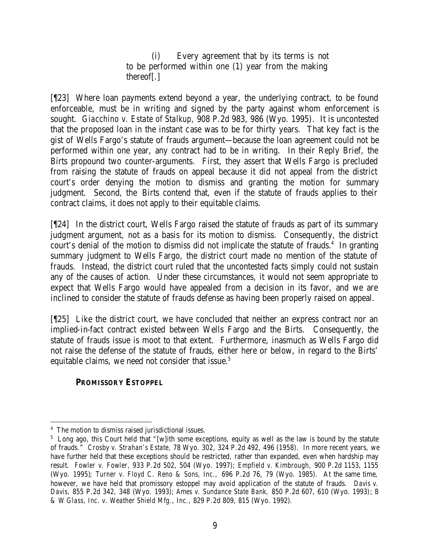(i) Every agreement that by its terms is not to be performed within one (1) year from the making thereof[.]

[¶23] Where loan payments extend beyond a year, the underlying contract, to be found enforceable, must be in writing and signed by the party against whom enforcement is sought. *Giacchino v. Estate of Stalkup,* 908 P.2d 983, 986 (Wyo. 1995). It is uncontested that the proposed loan in the instant case was to be for thirty years. That key fact is the gist of Wells Fargo's statute of frauds argument—because the loan agreement could not be performed within one year, any contract had to be in writing. In their Reply Brief, the Birts propound two counter-arguments. First, they assert that Wells Fargo is precluded from raising the statute of frauds on appeal because it did not appeal from the district court's order denying the motion to dismiss and granting the motion for summary judgment. Second, the Birts contend that, even if the statute of frauds applies to their contract claims, it does not apply to their equitable claims.

[¶24] In the district court, Wells Fargo raised the statute of frauds as part of its summary judgment argument, not as a basis for its motion to dismiss. Consequently, the district court's denial of the motion to dismiss did not implicate the statute of frauds.<sup>4</sup> In granting summary judgment to Wells Fargo, the district court made no mention of the statute of frauds. Instead, the district court ruled that the uncontested facts simply could not sustain any of the causes of action. Under these circumstances, it would not seem appropriate to expect that Wells Fargo would have appealed from a decision in its favor, and we are inclined to consider the statute of frauds defense as having been properly raised on appeal.

[¶25] Like the district court, we have concluded that neither an express contract nor an implied-in-fact contract existed between Wells Fargo and the Birts. Consequently, the statute of frauds issue is moot to that extent. Furthermore, inasmuch as Wells Fargo did not raise the defense of the statute of frauds, either here or below, in regard to the Birts' equitable claims, we need not consider that issue.<sup>5</sup>

# **PROMISSORY ESTOPPEL**

<sup>&</sup>lt;sup>4</sup> The motion to dismiss raised jurisdictional issues.

<sup>&</sup>lt;sup>5</sup> Long ago, this Court held that "[w]ith some exceptions, equity as well as the law is bound by the statute of frauds." *Crosby v. Strahan's Estate,* 78 Wyo. 302, 324 P.2d 492, 496 (1958). In more recent years, we have further held that these exceptions should be restricted, rather than expanded, even when hardship may result. *Fowler v. Fowler,* 933 P.2d 502, 504 (Wyo. 1997); *Empfield v. Kimbrough,* 900 P.2d 1153, 1155 (Wyo. 1995); *Turner v. Floyd C. Reno & Sons, Inc.,* 696 P.2d 76, 79 (Wyo. 1985). At the same time, however, we have held that promissory estoppel may avoid application of the statute of frauds. *Davis v. Davis,* 855 P.2d 342, 348 (Wyo. 1993); *Ames v. Sundance State Bank,* 850 P.2d 607, 610 (Wyo. 1993); *B & W Glass, Inc. v. Weather Shield Mfg., Inc.,* 829 P.2d 809, 815 (Wyo. 1992).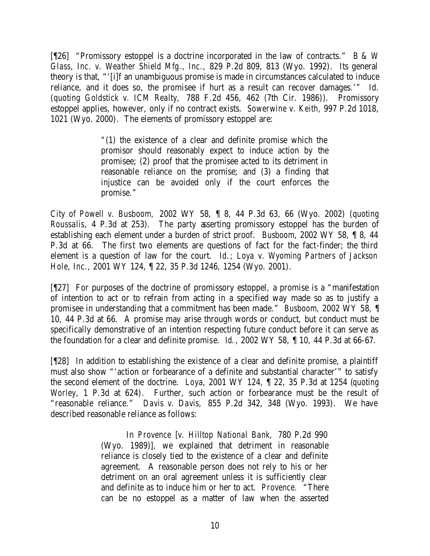[¶26] "Promissory estoppel is a doctrine incorporated in the law of contracts." *B & W Glass, Inc. v. Weather Shield Mfg., Inc.,* 829 P.2d 809, 813 (Wyo. 1992). Its general theory is that, "'[i]f an unambiguous promise is made in circumstances calculated to induce reliance, and it does so, the promisee if hurt as a result can recover damages.'" *Id.*  (*quoting Goldstick v. ICM Realty,* 788 F.2d 456, 462 (7th Cir. 1986)). Promissory estoppel applies, however, only if no contract exists. *Sowerwine v. Keith,* 997 P.2d 1018, 1021 (Wyo. 2000). The elements of promissory estoppel are:

> "(1) the existence of a clear and definite promise which the promisor should reasonably expect to induce action by the promisee; (2) proof that the promisee acted to its detriment in reasonable reliance on the promise; and (3) a finding that injustice can be avoided only if the court enforces the promise."

*City of Powell v. Busboom,* 2002 WY 58, ¶ 8, 44 P.3d 63, 66 (Wyo. 2002) (*quoting Roussalis,* 4 P.3d at 253). The party asserting promissory estoppel has the burden of establishing each element under a burden of strict proof. *Busboom*, 2002 WY 58, ¶ 8, 44 P.3d at 66. The first two elements are questions of fact for the fact-finder; the third element is a question of law for the court. *Id.*; *Loya v. Wyoming Partners of Jackson Hole, Inc.,* 2001 WY 124, ¶ 22, 35 P.3d 1246, 1254 (Wyo. 2001).

[¶27] For purposes of the doctrine of promissory estoppel, a promise is a "manifestation of intention to act or to refrain from acting in a specified way made so as to justify a promisee in understanding that a commitment has been made." *Busboom,* 2002 WY 58, ¶ 10, 44 P.3d at 66. A promise may arise through words or conduct, but conduct must be specifically demonstrative of an intention respecting future conduct before it can serve as the foundation for a clear and definite promise. *Id.*, 2002 WY 58, ¶ 10, 44 P.3d at 66-67.

[¶28] In addition to establishing the existence of a clear and definite promise, a plaintiff must also show "'action or forbearance of a definite and substantial character'" to satisfy the second element of the doctrine. *Loya*, 2001 WY 124, ¶ 22, 35 P.3d at 1254 (*quoting Worley*, 1 P.3d at 624). Further, such action or forbearance must be the result of "reasonable reliance." *Davis v. Davis,* 855 P.2d 342, 348 (Wyo. 1993). We have described reasonable reliance as follows:

> In *Provence* [*v. Hilltop National Bank,* 780 P.2d 990 (Wyo. 1989)], we explained that detriment in reasonable reliance is closely tied to the existence of a clear and definite agreement. A reasonable person does not rely to his or her detriment on an oral agreement unless it is sufficiently clear and definite as to induce him or her to act. *Provence.* "There can be no estoppel as a matter of law when the asserted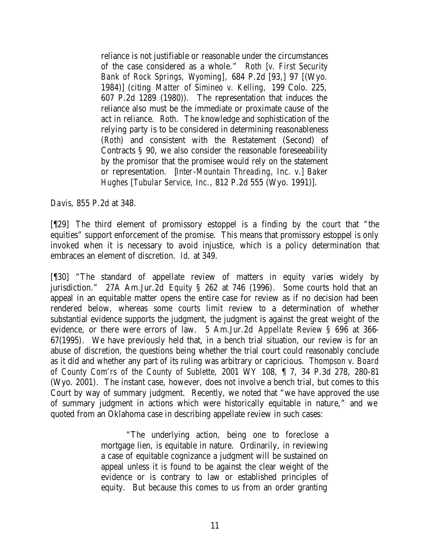reliance is not justifiable or reasonable under the circumstances of the case considered as a whole." *Roth* [*v. First Security Bank of Rock Springs, Wyoming*]*,* 684 P.2d [93,] 97 [(Wyo. 1984)] (citing *Matter of Simineo v. Kelling,* 199 Colo. 225, 607 P.2d 1289 (1980)). The representation that induces the reliance also must be the immediate or proximate cause of the act in reliance. *Roth.* The knowledge and sophistication of the relying party is to be considered in determining reasonableness (*Roth*) and consistent with the Restatement (Second) of Contracts § 90, we also consider the reasonable foreseeability by the promisor that the promisee would rely on the statement or representation. [*Inter-Mountain Threading, Inc. v.*] *Baker Hughes* [*Tubular Service, Inc.,* 812 P.2d 555 (Wyo. 1991)].

*Davis*, 855 P.2d at 348.

[¶29] The third element of promissory estoppel is a finding by the court that "the equities" support enforcement of the promise. This means that promissory estoppel is only invoked when it is necessary to avoid injustice, which is a policy determination that embraces an element of discretion. *Id.* at 349.

[¶30] "The standard of appellate review of matters in equity varies widely by jurisdiction." 27A Am.Jur.2d *Equity* § 262 at 746 (1996). Some courts hold that an appeal in an equitable matter opens the entire case for review as if no decision had been rendered below, whereas some courts limit review to a determination of whether substantial evidence supports the judgment, the judgment is against the great weight of the evidence, or there were errors of law. 5 Am.Jur.2d *Appellate Review* § 696 at 366- 67(1995). We have previously held that, in a bench trial situation, our review is for an abuse of discretion, the questions being whether the trial court could reasonably conclude as it did and whether any part of its ruling was arbitrary or capricious. *Thompson v. Board of County Com'rs of the County of Sublette,* 2001 WY 108, ¶ 7, 34 P.3d 278, 280-81 (Wyo. 2001). The instant case, however, does not involve a bench trial, but comes to this Court by way of summary judgment. Recently, we noted that "we have approved the use of summary judgment in actions which were historically equitable in nature," and we quoted from an Oklahoma case in describing appellate review in such cases:

> "The underlying action, being one to foreclose a mortgage lien, is equitable in nature. Ordinarily, in reviewing a case of equitable cognizance a judgment will be sustained on appeal unless it is found to be against the clear weight of the evidence or is contrary to law or established principles of equity. But because this comes to us from an order granting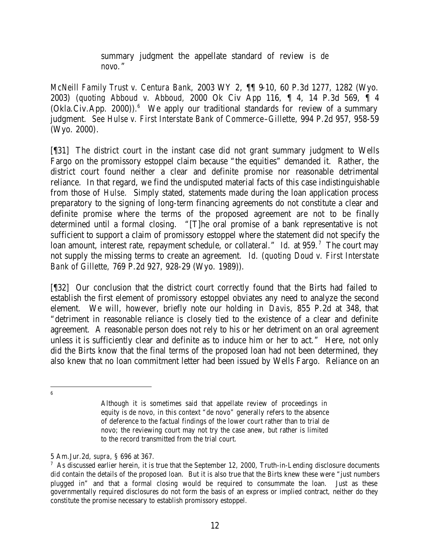summary judgment the appellate standard of review is *de novo.*"

*McNeill Family Trust v. Centura Bank,* 2003 WY 2, ¶¶ 9-10, 60 P.3d 1277, 1282 (Wyo. 2003) (*quoting Abboud v. Abboud,* 2000 Ok Civ App 116, ¶ 4, 14 P.3d 569, ¶ 4 (Okla.Civ.App. 2000)). 6 We apply our traditional standards for review of a summary judgment. *See Hulse v. First Interstate Bank of Commerce–Gillette,* 994 P.2d 957, 958-59 (Wyo. 2000).

[¶31] The district court in the instant case did not grant summary judgment to Wells Fargo on the promissory estoppel claim because "the equities" demanded it. Rather, the district court found neither a clear and definite promise nor reasonable detrimental reliance. In that regard, we find the undisputed material facts of this case indistinguishable from those of *Hulse.* Simply stated, statements made during the loan application process preparatory to the signing of long-term financing agreements do not constitute a clear and definite promise where the terms of the proposed agreement are not to be finally determined until a formal closing. "[T]he oral promise of a bank representative is not sufficient to support a claim of promissory estoppel where the statement did not specify the loan amount, interest rate, repayment schedule, or collateral." Id. at 959.<sup>7</sup> The court may not supply the missing terms to create an agreement. *Id.* (*quoting Doud v. First Interstate Bank of Gillette,* 769 P.2d 927, 928-29 (Wyo. 1989)).

[¶32] Our conclusion that the district court correctly found that the Birts had failed to establish the first element of promissory estoppel obviates any need to analyze the second element. We will, however, briefly note our holding in *Davis*, 855 P.2d at 348, that "detriment in reasonable reliance is closely tied to the existence of a clear and definite agreement. A reasonable person does not rely to his or her detriment on an oral agreement unless it is sufficiently clear and definite as to induce him or her to act." Here, not only did the Birts know that the final terms of the proposed loan had not been determined, they also knew that no loan commitment letter had been issued by Wells Fargo. Reliance on an

 6

Although it is sometimes said that appellate review of proceedings in equity is de novo, in this context "de novo" generally refers to the absence of deference to the factual findings of the lower court rather than to trial de novo; the reviewing court may not try the case anew, but rather is limited to the record transmitted from the trial court.

<sup>5</sup> Am.Jur.2d, *supra*, § 696 at 367.

 $7$  As discussed earlier herein, it is true that the September 12, 2000, Truth-in-Lending disclosure documents did contain the details of the proposed loan. But it is also true that the Birts knew these were "just numbers plugged in" and that a formal closing would be required to consummate the loan. Just as these governmentally required disclosures do not form the basis of an express or implied contract, neither do they constitute the promise necessary to establish promissory estoppel.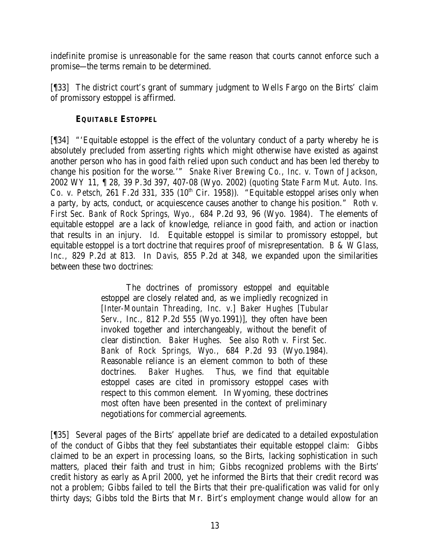indefinite promise is unreasonable for the same reason that courts cannot enforce such a promise—the terms remain to be determined.

[¶33] The district court's grant of summary judgment to Wells Fargo on the Birts' claim of promissory estoppel is affirmed.

# **EQUITABLE ESTOPPEL**

[¶34] "'Equitable estoppel is the effect of the voluntary conduct of a party whereby he is absolutely precluded from asserting rights which might otherwise have existed as against another person who has in good faith relied upon such conduct and has been led thereby to change his position for the worse.'" *Snake River Brewing Co., Inc. v. Town of Jackson,*  2002 WY 11, ¶ 28, 39 P.3d 397, 407-08 (Wyo. 2002) (*quoting State Farm Mut. Auto. Ins. Co. v. Petsch*, 261 F.2d 331, 335  $(10<sup>th</sup>$  Cir. 1958). "Equitable estoppel arises only when a party, by acts, conduct, or acquiescence causes another to change his position." *Roth v. First Sec. Bank of Rock Springs, Wyo.,* 684 P.2d 93, 96 (Wyo. 1984). The elements of equitable estoppel are a lack of knowledge, reliance in good faith, and action or inaction that results in an injury. *Id.* Equitable estoppel is similar to promissory estoppel, but equitable estoppel is a tort doctrine that requires proof of misrepresentation. *B & W Glass, Inc.,* 829 P.2d at 813. In *Davis,* 855 P.2d at 348, we expanded upon the similarities between these two doctrines:

> The doctrines of promissory estoppel and equitable estoppel are closely related and, as we impliedly recognized in [*Inter-Mountain Threading, Inc. v.*] *Baker Hughes [Tubular Serv., Inc.*, 812 P.2d 555 (Wyo.1991)], they often have been invoked together and interchangeably, without the benefit of clear distinction. *Baker Hughes. See also Roth v. First Sec. Bank of Rock Springs, Wyo.,* 684 P.2d 93 (Wyo.1984). Reasonable reliance is an element common to both of these doctrines. *Baker Hughes.* Thus, we find that equitable estoppel cases are cited in promissory estoppel cases with respect to this common element. In Wyoming, these doctrines most often have been presented in the context of preliminary negotiations for commercial agreements.

[¶35] Several pages of the Birts' appellate brief are dedicated to a detailed expostulation of the conduct of Gibbs that they feel substantiates their equitable estoppel claim: Gibbs claimed to be an expert in processing loans, so the Birts, lacking sophistication in such matters, placed their faith and trust in him; Gibbs recognized problems with the Birts' credit history as early as April 2000, yet he informed the Birts that their credit record was not a problem; Gibbs failed to tell the Birts that their pre-qualification was valid for only thirty days; Gibbs told the Birts that Mr. Birt's employment change would allow for an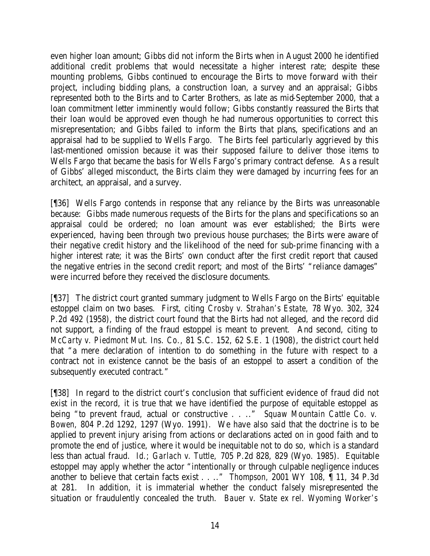even higher loan amount; Gibbs did not inform the Birts when in August 2000 he identified additional credit problems that would necessitate a higher interest rate; despite these mounting problems, Gibbs continued to encourage the Birts to move forward with their project, including bidding plans, a construction loan, a survey and an appraisal; Gibbs represented both to the Birts and to Carter Brothers, as late as mid-September 2000, that a loan commitment letter imminently would follow; Gibbs constantly reassured the Birts that their loan would be approved even though he had numerous opportunities to correct this misrepresentation; and Gibbs failed to inform the Birts that plans, specifications and an appraisal had to be supplied to Wells Fargo. The Birts feel particularly aggrieved by this last-mentioned omission because it was their supposed failure to deliver those items to Wells Fargo that became the basis for Wells Fargo's primary contract defense. As a result of Gibbs' alleged misconduct, the Birts claim they were damaged by incurring fees for an architect, an appraisal, and a survey.

[¶36] Wells Fargo contends in response that any reliance by the Birts was unreasonable because: Gibbs made numerous requests of the Birts for the plans and specifications so an appraisal could be ordered; no loan amount was ever established; the Birts were experienced, having been through two previous house purchases; the Birts were aware of their negative credit history and the likelihood of the need for sub-prime financing with a higher interest rate; it was the Birts' own conduct after the first credit report that caused the negative entries in the second credit report; and most of the Birts' "reliance damages" were incurred before they received the disclosure documents.

[¶37] The district court granted summary judgment to Wells Fargo on the Birts' equitable estoppel claim on two bases. First, citing *Crosby v. Strahan's Estate,* 78 Wyo. 302, 324 P.2d 492 (1958), the district court found that the Birts had not alleged, and the record did not support, a finding of the fraud estoppel is meant to prevent. And second, citing to *McCarty v. Piedmont Mut. Ins. Co.,* 81 S.C. 152, 62 S.E. 1 (1908), the district court held that "a mere declaration of intention to do something in the future with respect to a contract not in existence cannot be the basis of an estoppel to assert a condition of the subsequently executed contract."

[¶38] In regard to the district court's conclusion that sufficient evidence of fraud did not exist in the record, it is true that we have identified the purpose of equitable estoppel as being "to prevent fraud, actual or constructive . . .." *Squaw Mountain Cattle Co. v. Bowen,* 804 P.2d 1292, 1297 (Wyo. 1991). We have also said that the doctrine is to be applied to prevent injury arising from actions or declarations acted on in good faith and to promote the end of justice, where it would be inequitable not to do so, which is a standard less than actual fraud. *Id.*; *Garlach v. Tuttle,* 705 P.2d 828, 829 (Wyo. 1985). Equitable estoppel may apply whether the actor "intentionally or through culpable negligence induces another to believe that certain facts exist . . .." *Thompson,* 2001 WY 108, ¶ 11, 34 P.3d at 281. In addition, it is immaterial whether the conduct falsely misrepresented the situation or fraudulently concealed the truth. *Bauer v. State ex rel. Wyoming Worker's*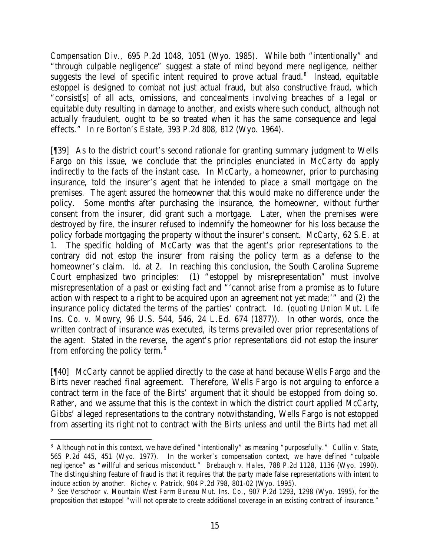*Compensation Div.,* 695 P.2d 1048, 1051 (Wyo. 1985). While both "intentionally" and "through culpable negligence" suggest a state of mind beyond mere negligence, neither suggests the level of specific intent required to prove actual fraud. $8$  Instead, equitable estoppel is designed to combat not just actual fraud, but also constructive fraud, which "consist[s] of all acts, omissions, and concealments involving breaches of a legal or equitable duty resulting in damage to another, and exists where such conduct, although not actually fraudulent, ought to be so treated when it has the same consequence and legal effects." *In re Borton's Estate,* 393 P.2d 808, 812 (Wyo. 1964).

[¶39] As to the district court's second rationale for granting summary judgment to Wells Fargo on this issue, we conclude that the principles enunciated in *McCarty* do apply indirectly to the facts of the instant case. In *McCarty*, a homeowner, prior to purchasing insurance, told the insurer's agent that he intended to place a small mortgage on the premises. The agent assured the homeowner that this would make no difference under the policy. Some months after purchasing the insurance, the homeowner, without further consent from the insurer, did grant such a mortgage. Later, when the premises were destroyed by fire, the insurer refused to indemnify the homeowner for his loss because the policy forbade mortgaging the property without the insurer's consent. *McCarty*, 62 S.E. at 1. The specific holding of *McCarty* was that the agent's prior representations to the contrary did not estop the insurer from raising the policy term as a defense to the homeowner's claim. *Id.* at 2. In reaching this conclusion, the South Carolina Supreme Court emphasized two principles: (1) "estoppel by misrepresentation" must involve misrepresentation of a past or existing fact and "'cannot arise from a promise as to future action with respect to a right to be acquired upon an agreement not yet made;'" and (2) the insurance policy dictated the terms of the parties' contract. *Id.* (*quoting Union Mut. Life Ins. Co. v. Mowry*, 96 U.S. 544, 546, 24 L.Ed. 674 (1877)). In other words, once the written contract of insurance was executed, its terms prevailed over prior representations of the agent. Stated in the reverse, the agent's prior representations did not estop the insurer from enforcing the policy term.<sup>9</sup>

[¶40] *McCarty* cannot be applied directly to the case at hand because Wells Fargo and the Birts never reached final agreement. Therefore, Wells Fargo is not arguing to enforce a contract term in the face of the Birts' argument that it should be estopped from doing so. Rather, and we assume that this is the context in which the district court applied *McCarty*, Gibbs' alleged representations to the contrary notwithstanding, Wells Fargo is not estopped from asserting its right not to contract with the Birts unless and until the Birts had met all

<sup>8</sup> Although not in this context, we have defined "intentionally" as meaning "purposefully." *Cullin v. State,*  565 P.2d 445, 451 (Wyo. 1977). In the worker's compensation context, we have defined "culpable negligence" as "willful and serious misconduct." *Brebaugh v. Hales,* 788 P.2d 1128, 1136 (Wyo. 1990). The distinguishing feature of fraud is that it requires that the party made false representations with intent to induce action by another. *Richey v. Patrick,* 904 P.2d 798, 801-02 (Wyo. 1995).

<sup>&</sup>lt;sup>9</sup> See Verschoor v. Mountain West Farm Bureau Mut. Ins. Co., 907 P.2d 1293, 1298 (Wyo. 1995), for the proposition that estoppel "will not operate to create additional coverage in an existing contract of insurance."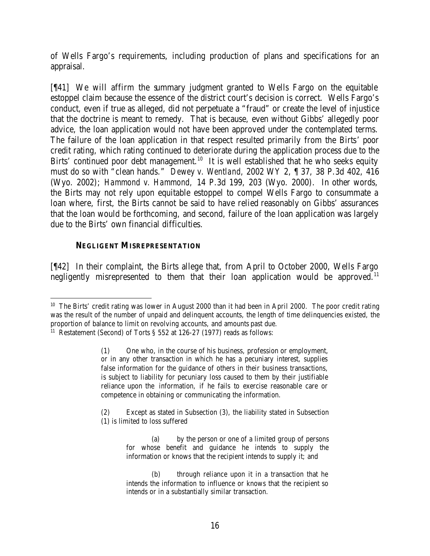of Wells Fargo's requirements, including production of plans and specifications for an appraisal.

[¶41] We will affirm the summary judgment granted to Wells Fargo on the equitable estoppel claim because the essence of the district court's decision is correct. Wells Fargo's conduct, even if true as alleged, did not perpetuate a "fraud" or create the level of injustice that the doctrine is meant to remedy. That is because, even without Gibbs' allegedly poor advice, the loan application would not have been approved under the contemplated terms. The failure of the loan application in that respect resulted primarily from the Birts' poor credit rating, which rating continued to deteriorate during the application process due to the Birts' continued poor debt management.<sup>10</sup> It is well established that he who seeks equity must do so with "clean hands." *Dewey v. Wentland,* 2002 WY 2, ¶ 37, 38 P.3d 402, 416 (Wyo. 2002); *Hammond v. Hammond,* 14 P.3d 199, 203 (Wyo. 2000). In other words, the Birts may not rely upon equitable estoppel to compel Wells Fargo to consummate a loan where, first, the Birts cannot be said to have relied reasonably on Gibbs' assurances that the loan would be forthcoming, and second, failure of the loan application was largely due to the Birts' own financial difficulties.

#### **NEGLIGENT MISREPRESENTATION**

[¶42] In their complaint, the Birts allege that, from April to October 2000, Wells Fargo negligently misrepresented to them that their loan application would be approved.<sup>11</sup>

(2) Except as stated in Subsection (3), the liability stated in Subsection (1) is limited to loss suffered

<sup>&</sup>lt;sup>10</sup> The Birts' credit rating was lower in August 2000 than it had been in April 2000. The poor credit rating was the result of the number of unpaid and delinquent accounts, the length of time delinquencies existed, the proportion of balance to limit on revolving accounts, and amounts past due.

<sup>&</sup>lt;sup>11</sup> Restatement (Second) of Torts § 552 at 126-27 (1977) reads as follows:

<sup>(1)</sup> One who, in the course of his business, profession or employment, or in any other transaction in which he has a pecuniary interest, supplies false information for the guidance of others in their business transactions, is subject to liability for pecuniary loss caused to them by their justifiable reliance upon the information, if he fails to exercise reasonable care or competence in obtaining or communicating the information.

<sup>(</sup>a) by the person or one of a limited group of persons for whose benefit and guidance he intends to supply the information or knows that the recipient intends to supply it; and

<sup>(</sup>b) through reliance upon it in a transaction that he intends the information to influence or knows that the recipient so intends or in a substantially similar transaction.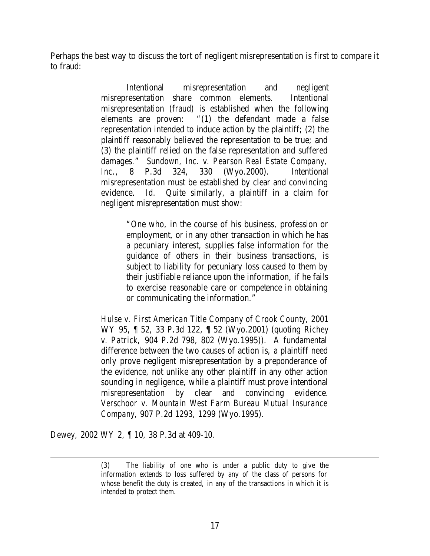Perhaps the best way to discuss the tort of negligent misrepresentation is first to compare it to fraud:

> Intentional misrepresentation and negligent misrepresentation share common elements. Intentional misrepresentation (fraud) is established when the following elements are proven: "(1) the defendant made a false representation intended to induce action by the plaintiff; (2) the plaintiff reasonably believed the representation to be true; and (3) the plaintiff relied on the false representation and suffered damages." *Sundown, Inc. v. Pearson Real Estate Company, Inc.,* 8 P.3d 324, 330 (Wyo.2000). Intentional misrepresentation must be established by clear and convincing evidence. *Id.* Quite similarly, a plaintiff in a claim for negligent misrepresentation must show:

> > "One who, in the course of his business, profession or employment, or in any other transaction in which he has a pecuniary interest, supplies false information for the guidance of others in their business transactions, is subject to liability for pecuniary loss caused to them by their justifiable reliance upon the information, if he fails to exercise reasonable care or competence in obtaining or communicating the information."

*Hulse v. First American Title Company of Crook County,* 2001 WY 95, ¶ 52, 33 P.3d 122, ¶ 52 (Wyo.2001) (quoting *Richey v. Patrick,* 904 P.2d 798, 802 (Wyo.1995)). A fundamental difference between the two causes of action is, a plaintiff need only prove negligent misrepresentation by a preponderance of the evidence, not unlike any other plaintiff in any other action sounding in negligence, while a plaintiff must prove intentional misrepresentation by clear and convincing evidence. *Verschoor v. Mountain West Farm Bureau Mutual Insurance Company,* 907 P.2d 1293, 1299 (Wyo.1995).

*Dewey,* 2002 WY 2, ¶ 10, 38 P.3d at 409-10.

<sup>(3)</sup> The liability of one who is under a public duty to give the information extends to loss suffered by any of the class of persons for whose benefit the duty is created, in any of the transactions in which it is intended to protect them.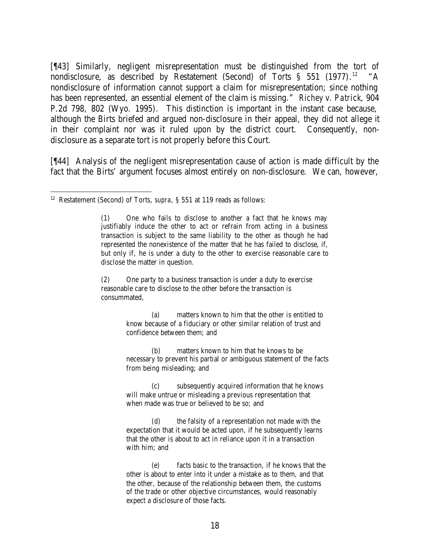[¶43] Similarly, negligent misrepresentation must be distinguished from the tort of nondisclosure, as described by Restatement (Second) of Torts § 551 (1977).<sup>12</sup> "<sup>A</sup> nondisclosure of information cannot support a claim for misrepresentation; since nothing has been represented, an essential element of the claim is missing." *Richey v. Patrick*, 904 P.2d 798, 802 (Wyo. 1995). This distinction is important in the instant case because, although the Birts briefed and argued non-disclosure in their appeal, they did not allege it in their complaint nor was it ruled upon by the district court. Consequently, nondisclosure as a separate tort is not properly before this Court.

[¶44] Analysis of the negligent misrepresentation cause of action is made difficult by the fact that the Birts' argument focuses almost entirely on non-disclosure. We can, however,

(2) One party to a business transaction is under a duty to exercise reasonable care to disclose to the other before the transaction is consummated,

> (a) matters known to him that the other is entitled to know because of a fiduciary or other similar relation of trust and confidence between them; and

(b) matters known to him that he knows to be necessary to prevent his partial or ambiguous statement of the facts from being misleading; and

(c) subsequently acquired information that he knows will make untrue or misleading a previous representation that when made was true or believed to be so; and

(d) the falsity of a representation not made with the expectation that it would be acted upon, if he subsequently learns that the other is about to act in reliance upon it in a transaction with him; and

(e) facts basic to the transaction, if he knows that the other is about to enter into it under a mistake as to them, and that the other, because of the relationship between them, the customs of the trade or other objective circumstances, would reasonably expect a disclosure of those facts.

<sup>12</sup> Restatement (Second) of Torts, *supra*, § 551 at 119 reads as follows:

<sup>(1)</sup> One who fails to disclose to another a fact that he knows may justifiably induce the other to act or refrain from acting in a business transaction is subject to the same liability to the other as though he had represented the nonexistence of the matter that he has failed to disclose, if, but only if, he is under a duty to the other to exercise reasonable care to disclose the matter in question.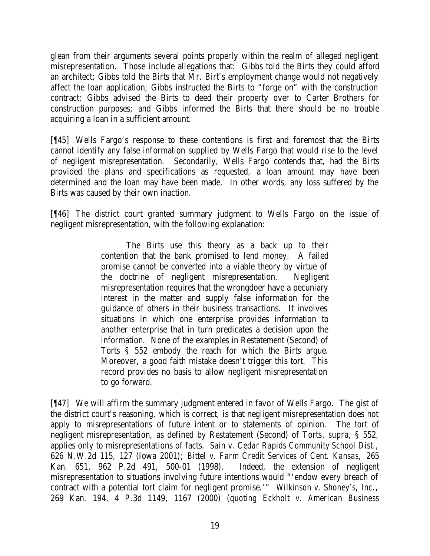glean from their arguments several points properly within the realm of alleged negligent misrepresentation. Those include allegations that: Gibbs told the Birts they could afford an architect; Gibbs told the Birts that Mr. Birt's employment change would not negatively affect the loan application; Gibbs instructed the Birts to "forge on" with the construction contract; Gibbs advised the Birts to deed their property over to Carter Brothers for construction purposes; and Gibbs informed the Birts that there should be no trouble acquiring a loan in a sufficient amount.

[¶45] Wells Fargo's response to these contentions is first and foremost that the Birts cannot identify any false information supplied by Wells Fargo that would rise to the level of negligent misrepresentation. Secondarily, Wells Fargo contends that, had the Birts provided the plans and specifications as requested, a loan amount may have been determined and the loan may have been made. In other words, any loss suffered by the Birts was caused by their own inaction.

[¶46] The district court granted summary judgment to Wells Fargo on the issue of negligent misrepresentation, with the following explanation:

> The Birts use this theory as a back up to their contention that the bank promised to lend money. A failed promise cannot be converted into a viable theory by virtue of the doctrine of negligent misrepresentation. Negligent misrepresentation requires that the wrongdoer have a pecuniary interest in the matter and supply false information for the guidance of others in their business transactions. It involves situations in which one enterprise provides information to another enterprise that in turn predicates a decision upon the information. None of the examples in Restatement (Second) of Torts § 552 embody the reach for which the Birts argue. Moreover, a good faith mistake doesn't trigger this tort. This record provides no basis to allow negligent misrepresentation to go forward.

[¶47] We will affirm the summary judgment entered in favor of Wells Fargo. The gist of the district court's reasoning, which is correct, is that negligent misrepresentation does not apply to misrepresentations of future intent or to statements of opinion. The tort of negligent misrepresentation, as defined by Restatement (Second) of Torts*, supra*, § 552, applies only to misrepresentations of facts. *Sain v. Cedar Rapids Community School Dist.,*  626 N.W.2d 115, 127 (Iowa 2001); *Bittel v. Farm Credit Services of Cent. Kansas,* 265 Kan. 651, 962 P.2d 491, 500-01 (1998). Indeed, the extension of negligent misrepresentation to situations involving future intentions would "'endow every breach of contract with a potential tort claim for negligent promise.'" *Wilkinson v. Shoney's, Inc.,*  269 Kan. 194, 4 P.3d 1149, 1167 (2000) (*quoting Eckholt v. American Business*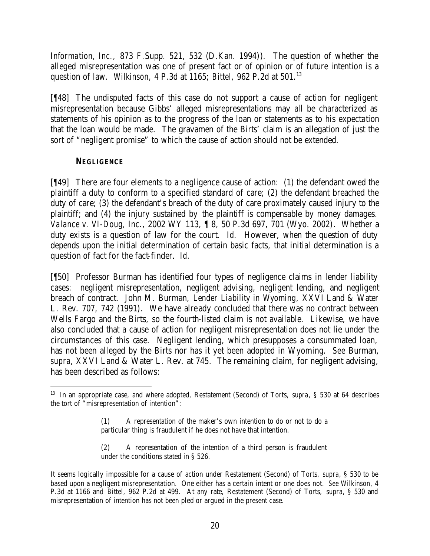*Information, Inc.,* 873 F.Supp. 521, 532 (D.Kan. 1994)). The question of whether the alleged misrepresentation was one of present fact or of opinion or of future intention is a question of law. *Wilkinson,* 4 P.3d at 1165; *Bittel,* 962 P.2d at 501. 13

[¶48] The undisputed facts of this case do not support a cause of action for negligent misrepresentation because Gibbs' alleged misrepresentations may all be characterized as statements of his opinion as to the progress of the loan or statements as to his expectation that the loan would be made. The gravamen of the Birts' claim is an allegation of just the sort of "negligent promise" to which the cause of action should not be extended.

### **NEGLIGENCE**

[¶49] There are four elements to a negligence cause of action: (1) the defendant owed the plaintiff a duty to conform to a specified standard of care; (2) the defendant breached the duty of care; (3) the defendant's breach of the duty of care proximately caused injury to the plaintiff; and (4) the injury sustained by the plaintiff is compensable by money damages. *Valance v. VI-Doug, Inc.,* 2002 WY 113, ¶ 8, 50 P.3d 697, 701 (Wyo. 2002). Whether a duty exists is a question of law for the court. *Id.* However, when the question of duty depends upon the initial determination of certain basic facts, that initial determination is a question of fact for the fact-finder. *Id.*

[¶50] Professor Burman has identified four types of negligence claims in lender liability cases: negligent misrepresentation, negligent advising, negligent lending, and negligent breach of contract. John M. Burman, *Lender Liability in Wyoming,* XXVI Land & Water L. Rev. 707, 742 (1991). We have already concluded that there was no contract between Wells Fargo and the Birts, so the fourth-listed claim is not available. Likewise, we have also concluded that a cause of action for negligent misrepresentation does not lie under the circumstances of this case. Negligent lending, which presupposes a consummated loan, has not been alleged by the Birts nor has it yet been adopted in Wyoming. *See* Burman, *supra*, XXVI Land & Water L. Rev. at 745. The remaining claim, for negligent advising, has been described as follows:

 <sup>13</sup> In an appropriate case, and where adopted, Restatement (Second) of Torts, *supra*, § 530 at 64 describes the tort of "misrepresentation of intention":

<sup>(1)</sup> A representation of the maker's own intention to do or not to do a particular thing is fraudulent if he does not have that intention.

<sup>(2)</sup> A representation of the intention of a third person is fraudulent under the conditions stated in § 526.

It seems logically impossible for a cause of action under Restatement (Second) of Torts, *supra*, § 530 to be based upon a negligent misrepresentation. One either has a certain intent or one does not. *See Wilkinson,* 4 P.3d at 1166 and *Bittel*, 962 P.2d at 499. At any rate, Restatement (Second) of Torts, *supra*, § 530 and misrepresentation of intention has not been pled or argued in the present case.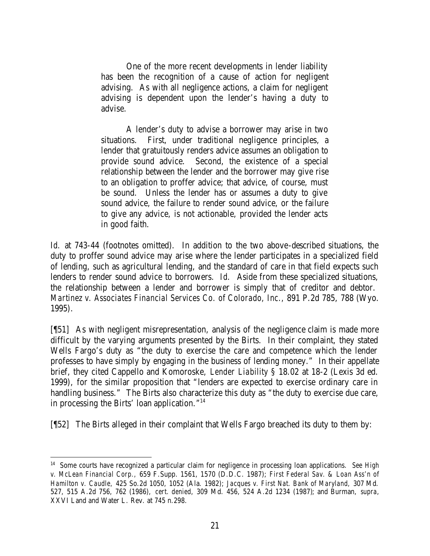One of the more recent developments in lender liability has been the recognition of a cause of action for negligent advising. As with all negligence actions, a claim for negligent advising is dependent upon the lender's having a duty to advise.

A lender's duty to advise a borrower may arise in two situations. First, under traditional negligence principles, a lender that gratuitously renders advice assumes an obligation to provide sound advice. Second, the existence of a special relationship between the lender and the borrower may give rise to an obligation to proffer advice; that advice, of course, must be sound. Unless the lender has or assumes a duty to give sound advice, the failure to render sound advice, or the failure to give any advice, is not actionable, provided the lender acts in good faith.

*Id.* at 743-44 (footnotes omitted). In addition to the two above-described situations, the duty to proffer sound advice may arise where the lender participates in a specialized field of lending, such as agricultural lending, and the standard of care in that field expects such lenders to render sound advice to borrowers. *Id*. Aside from these specialized situations, the relationship between a lender and borrower is simply that of creditor and debtor. *Martinez v. Associates Financial Services Co. of Colorado, Inc.,* 891 P.2d 785, 788 (Wyo. 1995).

[¶51] As with negligent misrepresentation, analysis of the negligence claim is made more difficult by the varying arguments presented by the Birts. In their complaint, they stated Wells Fargo's duty as "the duty to exercise the care and competence which the lender professes to have simply by engaging in the business of lending money." In their appellate brief, they cited Cappello and Komoroske, *Lender Liability* § 18.02 at 18-2 (Lexis 3d ed. 1999), for the similar proposition that "lenders are expected to exercise ordinary care in handling business." The Birts also characterize this duty as "the duty to exercise due care, in processing the Birts' loan application."<sup>14</sup>

[¶52] The Birts alleged in their complaint that Wells Fargo breached its duty to them by:

<sup>14</sup> Some courts have recognized a particular claim for negligence in processing loan applications. *See High v. McLean Financial Corp.,* 659 F.Supp. 1561, 1570 (D.D.C. 1987); *First Federal Sav. & Loan Ass'n of Hamilton v. Caudle,* 425 So.2d 1050, 1052 (Ala. 1982); *Jacques v. First Nat. Bank of Maryland,* 307 Md. 527, 515 A.2d 756, 762 (1986), *cert. denied*, 309 Md. 456, 524 A.2d 1234 (1987); and Burman, *supra*, XXVI Land and Water L. Rev. at 745 n.298.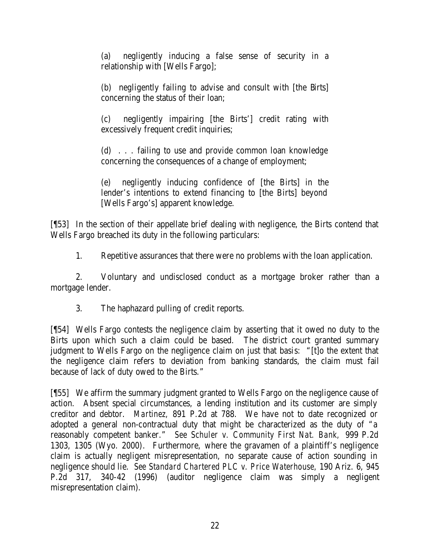(a) negligently inducing a false sense of security in a relationship with [Wells Fargo];

(b) negligently failing to advise and consult with [the Birts] concerning the status of their loan;

(c) negligently impairing [the Birts'] credit rating with excessively frequent credit inquiries;

(d) . . . failing to use and provide common loan knowledge concerning the consequences of a change of employment;

(e) negligently inducing confidence of [the Birts] in the lender's intentions to extend financing to [the Birts] beyond [Wells Fargo's] apparent knowledge.

[¶53] In the section of their appellate brief dealing with negligence, the Birts contend that Wells Fargo breached its duty in the following particulars:

1. Repetitive assurances that there were no problems with the loan application.

2. Voluntary and undisclosed conduct as a mortgage broker rather than a mortgage lender.

3. The haphazard pulling of credit reports.

[¶54] Wells Fargo contests the negligence claim by asserting that it owed no duty to the Birts upon which such a claim could be based. The district court granted summary judgment to Wells Fargo on the negligence claim on just that basis: "[t]o the extent that the negligence claim refers to deviation from banking standards, the claim must fail because of lack of duty owed to the Birts."

[¶55] We affirm the summary judgment granted to Wells Fargo on the negligence cause of action. Absent special circumstances, a lending institution and its customer are simply creditor and debtor. *Martinez,* 891 P.2d at 788. We have not to date recognized or adopted a general non-contractual duty that might be characterized as the duty of "a reasonably competent banker." *See Schuler v. Community First Nat. Bank,* 999 P.2d 1303, 1305 (Wyo. 2000). Furthermore, where the gravamen of a plaintiff's negligence claim is actually negligent misrepresentation, no separate cause of action sounding in negligence should lie. *See Standard Chartered PLC v. Price Waterhouse,* 190 Ariz. 6, 945 P.2d 317, 340-42 (1996) (auditor negligence claim was simply a negligent misrepresentation claim).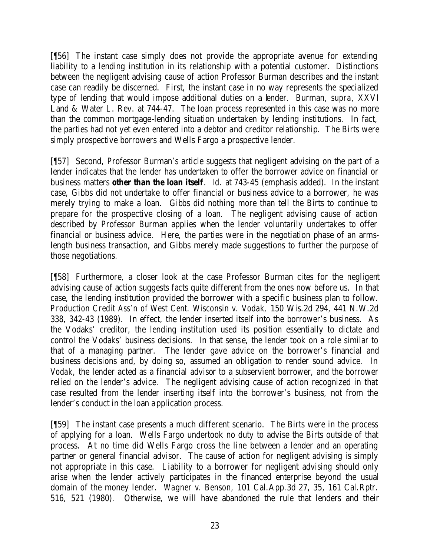[¶56] The instant case simply does not provide the appropriate avenue for extending liability to a lending institution in its relationship with a potential customer. Distinctions between the negligent advising cause of action Professor Burman describes and the instant case can readily be discerned. First, the instant case in no way represents the specialized type of lending that would impose additional duties on a lender. Burman, *supra,* XXVI Land & Water L. Rev. at 744-47. The loan process represented in this case was no more than the common mortgage-lending situation undertaken by lending institutions. In fact, the parties had not yet even entered into a debtor and creditor relationship. The Birts were simply prospective borrowers and Wells Fargo a prospective lender.

[¶57] Second, Professor Burman's article suggests that negligent advising on the part of a lender indicates that the lender has undertaken to offer the borrower advice on financial or business matters *other than the loan itself. Id.* at 743-45 (emphasis added). In the instant case, Gibbs did not undertake to offer financial or business advice to a borrower, he was merely trying to make a loan. Gibbs did nothing more than tell the Birts to continue to prepare for the prospective closing of a loan. The negligent advising cause of action described by Professor Burman applies when the lender voluntarily undertakes to offer financial or business advice. Here, the parties were in the negotiation phase of an armslength business transaction, and Gibbs merely made suggestions to further the purpose of those negotiations.

[¶58] Furthermore, a closer look at the case Professor Burman cites for the negligent advising cause of action suggests facts quite different from the ones now before us. In that case, the lending institution provided the borrower with a specific business plan to follow. *Production Credit Ass'n of West Cent. Wisconsin v. Vodak,* 150 Wis.2d 294, 441 N.W.2d 338, 342-43 (1989). In effect, the lender inserted itself into the borrower's business. As the Vodaks' creditor, the lending institution used its position essentially to dictate and control the Vodaks' business decisions. In that sense, the lender took on a role similar to that of a managing partner. The lender gave advice on the borrower's financial and business decisions and, by doing so, assumed an obligation to render sound advice. In *Vodak*, the lender acted as a financial advisor to a subservient borrower, and the borrower relied on the lender's advice. The negligent advising cause of action recognized in that case resulted from the lender inserting itself into the borrower's business, not from the lender's conduct in the loan application process.

[¶59] The instant case presents a much different scenario. The Birts were in the process of applying for a loan. Wells Fargo undertook no duty to advise the Birts outside of that process. At no time did Wells Fargo cross the line between a lender and an operating partner or general financial advisor. The cause of action for negligent advising is simply not appropriate in this case. Liability to a borrower for negligent advising should only arise when the lender actively participates in the financed enterprise beyond the usual domain of the money lender. *Wagner v. Benson,* 101 Cal.App.3d 27, 35, 161 Cal.Rptr. 516, 521 (1980). Otherwise, we will have abandoned the rule that lenders and their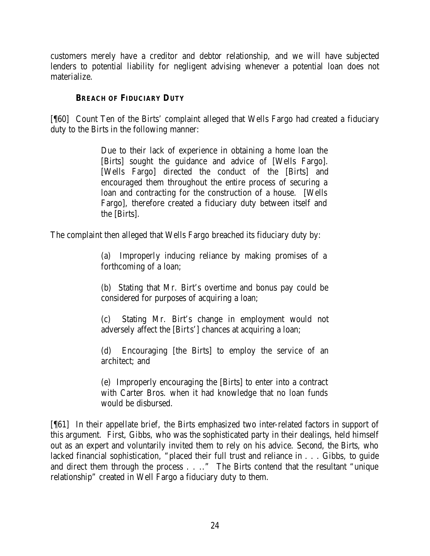customers merely have a creditor and debtor relationship, and we will have subjected lenders to potential liability for negligent advising whenever a potential loan does not materialize.

# **BREACH OF FIDUCIARY DUTY**

[¶60] Count Ten of the Birts' complaint alleged that Wells Fargo had created a fiduciary duty to the Birts in the following manner:

> Due to their lack of experience in obtaining a home loan the [Birts] sought the guidance and advice of [Wells Fargo]. [Wells Fargo] directed the conduct of the [Birts] and encouraged them throughout the entire process of securing a loan and contracting for the construction of a house. [Wells Fargo], therefore created a fiduciary duty between itself and the [Birts].

The complaint then alleged that Wells Fargo breached its fiduciary duty by:

(a) Improperly inducing reliance by making promises of a forthcoming of a loan;

(b) Stating that Mr. Birt's overtime and bonus pay could be considered for purposes of acquiring a loan;

(c) Stating Mr. Birt's change in employment would not adversely affect the [Birts'] chances at acquiring a loan;

(d) Encouraging [the Birts] to employ the service of an architect; and

(e) Improperly encouraging the [Birts] to enter into a contract with Carter Bros. when it had knowledge that no loan funds would be disbursed.

[¶61] In their appellate brief, the Birts emphasized two inter-related factors in support of this argument. First, Gibbs, who was the sophisticated party in their dealings, held himself out as an expert and voluntarily invited them to rely on his advice. Second, the Birts, who lacked financial sophistication, "placed their full trust and reliance in . . . Gibbs, to guide and direct them through the process . . .." The Birts contend that the resultant "unique relationship" created in Well Fargo a fiduciary duty to them.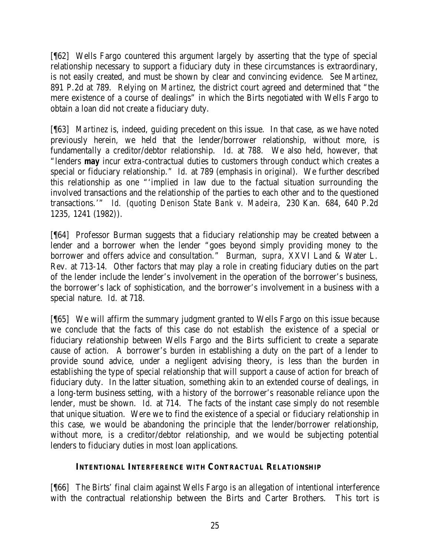[¶62] Wells Fargo countered this argument largely by asserting that the type of special relationship necessary to support a fiduciary duty in these circumstances is extraordinary, is not easily created, and must be shown by clear and convincing evidence. *See Martinez,*  891 P.2d at 789. Relying on *Martinez*, the district court agreed and determined that "the mere existence of a course of dealings" in which the Birts negotiated with Wells Fargo to obtain a loan did not create a fiduciary duty.

[¶63] *Martinez* is, indeed, guiding precedent on this issue. In that case, as we have noted previously herein, we held that the lender/borrower relationship, without more, is fundamentally a creditor/debtor relationship. *Id.* at 788. We also held, however, that "lenders *may* incur extra-contractual duties to customers through conduct which creates a special or fiduciary relationship." *Id.* at 789 (emphasis in original). We further described this relationship as one "'implied in law due to the factual situation surrounding the involved transactions and the relationship of the parties to each other and to the questioned transactions.'" *Id.* (*quoting Denison State Bank v. Madeira,* 230 Kan. 684, 640 P.2d 1235, 1241 (1982)).

[¶64] Professor Burman suggests that a fiduciary relationship may be created between a lender and a borrower when the lender "goes beyond simply providing money to the borrower and offers advice and consultation." Burman, *supra,* XXVI Land & Water L. Rev. at 713-14. Other factors that may play a role in creating fiduciary duties on the part of the lender include the lender's involvement in the operation of the borrower's business, the borrower's lack of sophistication, and the borrower's involvement in a business with a special nature. *Id.* at 718.

[¶65] We will affirm the summary judgment granted to Wells Fargo on this issue because we conclude that the facts of this case do not establish the existence of a special or fiduciary relationship between Wells Fargo and the Birts sufficient to create a separate cause of action. A borrower's burden in establishing a duty on the part of a lender to provide sound advice, under a negligent advising theory, is less than the burden in establishing the type of special relationship that will support a cause of action for breach of fiduciary duty. In the latter situation, something akin to an extended course of dealings, in a long-term business setting, with a history of the borrower's reasonable reliance upon the lender, must be shown. *Id.* at 714. The facts of the instant case simply do not resemble that unique situation. Were we to find the existence of a special or fiduciary relationship in this case, we would be abandoning the principle that the lender/borrower relationship, without more, is a creditor/debtor relationship, and we would be subjecting potential lenders to fiduciary duties in most loan applications.

# **INTENTIONAL INTERFERENCE WITH CONTRACTUAL RELATIONSHIP**

[¶66] The Birts' final claim against Wells Fargo is an allegation of intentional interference with the contractual relationship between the Birts and Carter Brothers. This tort is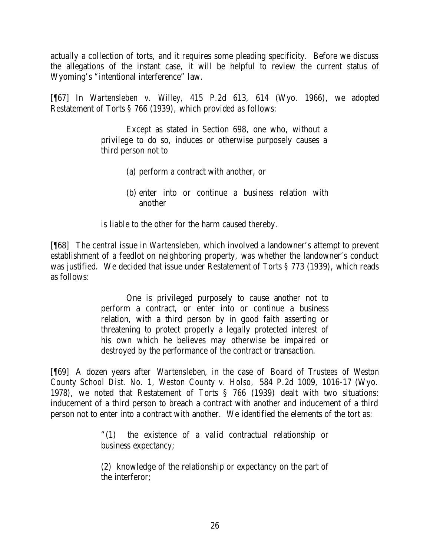actually a collection of torts, and it requires some pleading specificity. Before we discuss the allegations of the instant case, it will be helpful to review the current status of Wyoming's "intentional interference" law.

[¶67] In *Wartensleben v. Willey,* 415 P.2d 613, 614 (Wyo. 1966), we adopted Restatement of Torts § 766 (1939), which provided as follows:

> Except as stated in Section 698, one who, without a privilege to do so, induces or otherwise purposely causes a third person not to

- (a) perform a contract with another, or
- (b) enter into or continue a business relation with another

is liable to the other for the harm caused thereby.

[¶68] The central issue in *Wartensleben*, which involved a landowner's attempt to prevent establishment of a feedlot on neighboring property, was whether the landowner's conduct was justified. We decided that issue under Restatement of Torts § 773 (1939), which reads as follows:

> One is privileged purposely to cause another not to perform a contract, or enter into or continue a business relation, with a third person by in good faith asserting or threatening to protect properly a legally protected interest of his own which he believes may otherwise be impaired or destroyed by the performance of the contract or transaction.

[¶69] A dozen years after *Wartensleben*, in the case of *Board of Trustees of Weston County School Dist. No. 1, Weston County v. Holso,* 584 P.2d 1009, 1016-17 (Wyo. 1978), we noted that Restatement of Torts § 766 (1939) dealt with two situations: inducement of a third person to breach a contract with another and inducement of a third person not to enter into a contract with another. We identified the elements of the tort as:

> "(1) the existence of a valid contractual relationship or business expectancy;

> (2) knowledge of the relationship or expectancy on the part of the interferor;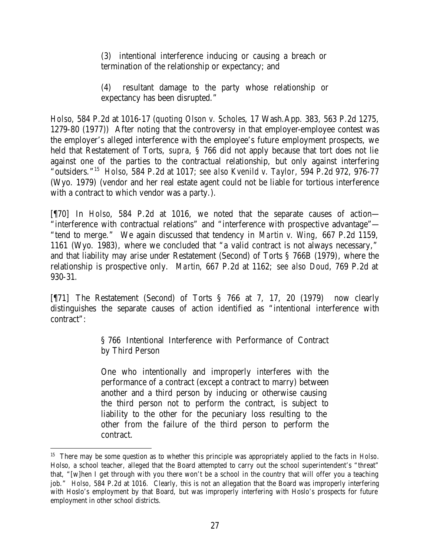(3) intentional interference inducing or causing a breach or termination of the relationship or expectancy; and

(4) resultant damage to the party whose relationship or expectancy has been disrupted."

*Holso*, 584 P.2d at 1016-17 (*quoting Olson v. Scholes*, 17 Wash.App. 383, 563 P.2d 1275, 1279-80 (1977)) After noting that the controversy in that employer-employee contest was the employer's alleged interference with the employee's future employment prospects, we held that Restatement of Torts, *supra*, § 766 did not apply because that tort does not lie against one of the parties to the contractual relationship, but only against interfering "outsiders."<sup>15</sup> *Holso*, 584 P.2d at 1017; *see also Kvenild v. Taylor,* 594 P.2d 972, 976-77 (Wyo. 1979) (vendor and her real estate agent could not be liable for tortious interference with a contract to which vendor was a party.).

[¶70] In *Holso*, 584 P.2d at 1016, we noted that the separate causes of action— "interference with contractual relations" and "interference with prospective advantage"— "tend to merge." We again discussed that tendency in *Martin v. Wing,* 667 P.2d 1159, 1161 (Wyo. 1983), where we concluded that "a valid contract is not always necessary," and that liability may arise under Restatement (Second) of Torts § 766B (1979), where the relationship is prospective only. *Martin*, 667 P.2d at 1162; *see also Doud*, 769 P.2d at 930-31.

[¶71] The Restatement (Second) of Torts § 766 at 7, 17, 20 (1979) now clearly distinguishes the separate causes of action identified as "intentional interference with contract":

> § 766 Intentional Interference with Performance of Contract by Third Person

> One who intentionally and improperly interferes with the performance of a contract (except a contract to marry) between another and a third person by inducing or otherwise causing the third person not to perform the contract, is subject to liability to the other for the pecuniary loss resulting to the other from the failure of the third person to perform the contract.

<sup>15</sup> There may be some question as to whether this principle was appropriately applied to the facts in *Holso*. Holso, a school teacher, alleged that the Board attempted to carry out the school superintendent's "threat" that, "[w]hen I get through with you there won't be a school in the country that will offer you a teaching job." *Holso*, 584 P.2d at 1016. Clearly, this is not an allegation that the Board was improperly interfering with Hoslo's employment by that Board, but was improperly interfering with Hoslo's prospects for future employment in other school districts.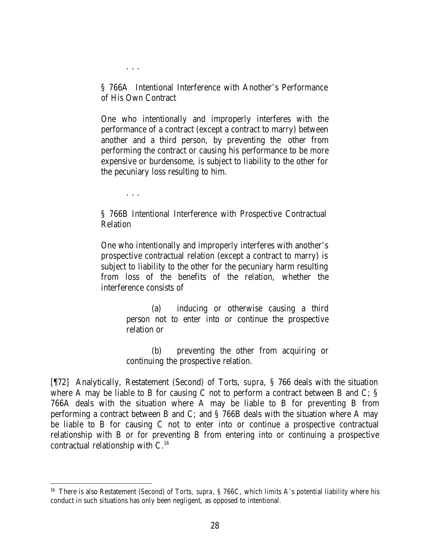§ 766A Intentional Interference with Another's Performance of His Own Contract

One who intentionally and improperly interferes with the performance of a contract (except a contract to marry) between another and a third person, by preventing the other from performing the contract or causing his performance to be more expensive or burdensome, is subject to liability to the other for the pecuniary loss resulting to him.

. . .

. . .

§ 766B Intentional Interference with Prospective Contractual Relation

One who intentionally and improperly interferes with another's prospective contractual relation (except a contract to marry) is subject to liability to the other for the pecuniary harm resulting from loss of the benefits of the relation, whether the interference consists of

> (a) inducing or otherwise causing a third person not to enter into or continue the prospective relation or

> (b) preventing the other from acquiring or continuing the prospective relation.

[¶72] Analytically, Restatement (Second) of Torts, *supra*, § 766 deals with the situation where A may be liable to B for causing C not to perform a contract between B and C; § 766A deals with the situation where A may be liable to B for preventing B from performing a contract between B and C; and § 766B deals with the situation where A may be liable to B for causing C not to enter into or continue a prospective contractual relationship with B or for preventing B from entering into or continuing a prospective contractual relationship with  $C<sup>16</sup>$ .

<sup>16</sup> There is also Restatement (Second) of Torts, *supra*, § 766C, which limits A's potential liability where his conduct in such situations has only been negligent, as opposed to intentional.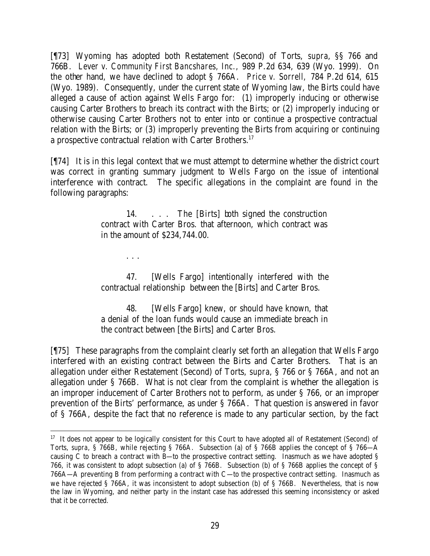[¶73] Wyoming has adopted both Restatement (Second) of Torts, *supra*, §§ 766 and 766B. *Lever v. Community First Bancshares, Inc.,* 989 P.2d 634, 639 (Wyo. 1999). On the other hand, we have declined to adopt § 766A. *Price v. Sorrell,* 784 P.2d 614, 615 (Wyo. 1989). Consequently, under the current state of Wyoming law, the Birts could have alleged a cause of action against Wells Fargo for: (1) improperly inducing or otherwise causing Carter Brothers to breach its contract with the Birts; or (2) improperly inducing or otherwise causing Carter Brothers not to enter into or continue a prospective contractual relation with the Birts; or (3) improperly preventing the Birts from acquiring or continuing a prospective contractual relation with Carter Brothers.<sup>17</sup>

[¶74] It is in this legal context that we must attempt to determine whether the district court was correct in granting summary judgment to Wells Fargo on the issue of intentional interference with contract. The specific allegations in the complaint are found in the following paragraphs:

> 14. . . . The [Birts] both signed the construction contract with Carter Bros. that afternoon, which contract was in the amount of \$234,744.00.

> > . . .

47. [Wells Fargo] intentionally interfered with the contractual relationship between the [Birts] and Carter Bros.

48. [Wells Fargo] knew, or should have known, that a denial of the loan funds would cause an immediate breach in the contract between [the Birts] and Carter Bros.

[¶75] These paragraphs from the complaint clearly set forth an allegation that Wells Fargo interfered with an existing contract between the Birts and Carter Brothers. That is an allegation under either Restatement (Second) of Torts, *supra*, § 766 or § 766A, and not an allegation under § 766B. What is not clear from the complaint is whether the allegation is an improper inducement of Carter Brothers not to perform, as under § 766, or an improper prevention of the Birts' performance, as under § 766A. That question is answered in favor of § 766A, despite the fact that no reference is made to any particular section, by the fact

 <sup>17</sup> It does not appear to be logically consistent for this Court to have adopted all of Restatement (Second) of Torts, *supra*, § 766B, while rejecting § 766A. Subsection (a) of § 766B applies the concept of § 766-A causing C to breach a contract with B—to the prospective contract setting. Inasmuch as we have adopted § 766, it was consistent to adopt subsection (a) of § 766B. Subsection (b) of § 766B applies the concept of § 766A—A preventing B from performing a contract with C—to the prospective contract setting. Inasmuch as we have rejected § 766A, it was inconsistent to adopt subsection (b) of § 766B. Nevertheless, that is now the law in Wyoming, and neither party in the instant case has addressed this seeming inconsistency or asked that it be corrected.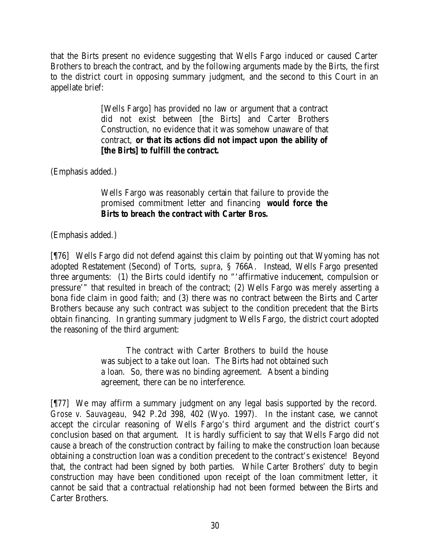that the Birts present no evidence suggesting that Wells Fargo induced or caused Carter Brothers to breach the contract, and by the following arguments made by the Birts, the first to the district court in opposing summary judgment, and the second to this Court in an appellate brief:

> [Wells Fargo] has provided no law or argument that a contract did not exist between [the Birts] and Carter Brothers Construction, no evidence that it was somehow unaware of that contract, *or that its actions did not impact upon the ability of [the Birts] to fulfill the contract.*

(Emphasis added.)

Wells Fargo was reasonably certain that failure to provide the promised commitment letter and financing *would force the Birts to breach the contract with Carter Bros.*

(Emphasis added.)

[¶76] Wells Fargo did not defend against this claim by pointing out that Wyoming has not adopted Restatement (Second) of Torts, *supra*, § 766A. Instead, Wells Fargo presented three arguments: (1) the Birts could identify no "'affirmative inducement, compulsion or pressure'" that resulted in breach of the contract; (2) Wells Fargo was merely asserting a bona fide claim in good faith; and (3) there was no contract between the Birts and Carter Brothers because any such contract was subject to the condition precedent that the Birts obtain financing. In granting summary judgment to Wells Fargo, the district court adopted the reasoning of the third argument:

> The contract with Carter Brothers to build the house was subject to a take out loan. The Birts had not obtained such a loan. So, there was no binding agreement. Absent a binding agreement, there can be no interference.

[¶77] We may affirm a summary judgment on any legal basis supported by the record. *Grose v. Sauvageau,* 942 P.2d 398, 402 (Wyo. 1997). In the instant case, we cannot accept the circular reasoning of Wells Fargo's third argument and the district court's conclusion based on that argument. It is hardly sufficient to say that Wells Fargo did not cause a breach of the construction contract by failing to make the construction loan because obtaining a construction loan was a condition precedent to the contract's existence! Beyond that, the contract had been signed by both parties. While Carter Brothers' duty to begin construction may have been conditioned upon receipt of the loan commitment letter, it cannot be said that a contractual relationship had not been formed between the Birts and Carter Brothers.